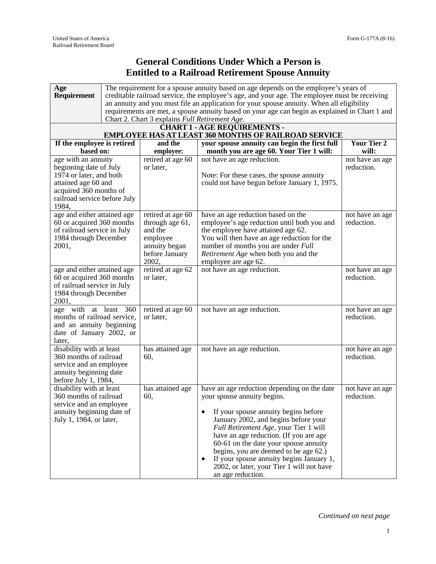## **General Conditions Under Which a Person is Entitled to a Railroad Retirement Spouse Annuity**

| Age                                                      | The requirement for a spouse annuity based on age depends on the employee's years of           |                                                |                                                                                    |                    |
|----------------------------------------------------------|------------------------------------------------------------------------------------------------|------------------------------------------------|------------------------------------------------------------------------------------|--------------------|
| Requirement                                              | creditable railroad service, the employee's age, and your age. The employee must be receiving  |                                                |                                                                                    |                    |
|                                                          | an annuity and you must file an application for your spouse annuity. When all eligibility      |                                                |                                                                                    |                    |
|                                                          | requirements are met, a spouse annuity based on your age can begin as explained in Chart 1 and |                                                |                                                                                    |                    |
|                                                          |                                                                                                | Chart 2. Chart 3 explains Full Retirement Age. |                                                                                    |                    |
|                                                          | <b>CHART 1 - AGE REQUIREMENTS -</b>                                                            |                                                |                                                                                    |                    |
|                                                          |                                                                                                |                                                | <b>EMPLOYEE HAS AT LEAST 360 MONTHS OF RAILROAD SERVICE</b>                        |                    |
| If the employee is retired                               |                                                                                                | and the                                        | your spouse annuity can begin the first full                                       | <b>Your Tier 2</b> |
| based on:                                                |                                                                                                | employee:                                      | month you are age 60. Your Tier 1 will:                                            | will:              |
| age with an annuity                                      |                                                                                                | retired at age 60                              | not have an age reduction.                                                         | not have an age    |
| beginning date of July                                   |                                                                                                | or later,                                      |                                                                                    | reduction.         |
| 1974 or later, and both                                  |                                                                                                |                                                | Note: For these cases, the spouse annuity                                          |                    |
| attained age 60 and                                      |                                                                                                |                                                | could not have begun before January 1, 1975.                                       |                    |
| acquired 360 months of                                   |                                                                                                |                                                |                                                                                    |                    |
| railroad service before July                             |                                                                                                |                                                |                                                                                    |                    |
| 1984,                                                    |                                                                                                |                                                |                                                                                    |                    |
| age and either attained age                              |                                                                                                | retired at age 60                              | have an age reduction based on the                                                 | not have an age    |
| 60 or acquired 360 months<br>of railroad service in July |                                                                                                | through age 61,<br>and the                     | employee's age reduction until both you and                                        | reduction.         |
| 1984 through December                                    |                                                                                                |                                                | the employee have attained age 62.                                                 |                    |
| 2001,                                                    |                                                                                                | employee<br>annuity began                      | You will then have an age reduction for the<br>number of months you are under Full |                    |
|                                                          |                                                                                                | before January                                 | Retirement Age when both you and the                                               |                    |
|                                                          |                                                                                                | 2002,                                          | employee are age 62.                                                               |                    |
| age and either attained age                              |                                                                                                | retired at age 62                              | not have an age reduction.                                                         | not have an age    |
| 60 or acquired 360 months                                |                                                                                                | or later.                                      |                                                                                    | reduction.         |
| of railroad service in July                              |                                                                                                |                                                |                                                                                    |                    |
| 1984 through December                                    |                                                                                                |                                                |                                                                                    |                    |
| 2001,                                                    |                                                                                                |                                                |                                                                                    |                    |
| 360<br>age with<br>at least                              |                                                                                                | retired at age 60                              | not have an age reduction.                                                         | not have an age    |
| months of railroad service,                              |                                                                                                | or later,                                      |                                                                                    | reduction.         |
| and an annuity beginning                                 |                                                                                                |                                                |                                                                                    |                    |
| date of January 2002, or                                 |                                                                                                |                                                |                                                                                    |                    |
| later,                                                   |                                                                                                |                                                |                                                                                    |                    |
| disability with at least                                 |                                                                                                | has attained age                               | not have an age reduction.                                                         | not have an age    |
| 360 months of railroad                                   |                                                                                                | 60,                                            |                                                                                    | reduction.         |
| service and an employee                                  |                                                                                                |                                                |                                                                                    |                    |
| annuity beginning date                                   |                                                                                                |                                                |                                                                                    |                    |
| before July 1, 1984,                                     |                                                                                                |                                                |                                                                                    |                    |
| disability with at least                                 |                                                                                                | has attained age                               | have an age reduction depending on the date                                        | not have an age    |
| 360 months of railroad                                   |                                                                                                | 60,                                            | your spouse annuity begins.                                                        | reduction.         |
| service and an employee                                  |                                                                                                |                                                |                                                                                    |                    |
| annuity beginning date of                                |                                                                                                |                                                | If your spouse annuity begins before                                               |                    |
| July 1, 1984, or later,                                  |                                                                                                |                                                | January 2002, and begins before your                                               |                    |
|                                                          |                                                                                                |                                                | Full Retirement Age, your Tier 1 will                                              |                    |
|                                                          |                                                                                                |                                                | have an age reduction. (If you are age                                             |                    |
|                                                          |                                                                                                |                                                | 60-61 on the date your spouse annuity                                              |                    |
|                                                          |                                                                                                |                                                | begins, you are deemed to be age 62.)                                              |                    |
|                                                          |                                                                                                |                                                | If your spouse annuity begins January 1,                                           |                    |
|                                                          |                                                                                                |                                                | 2002, or later, your Tier 1 will not have                                          |                    |
|                                                          |                                                                                                |                                                | an age reduction.                                                                  |                    |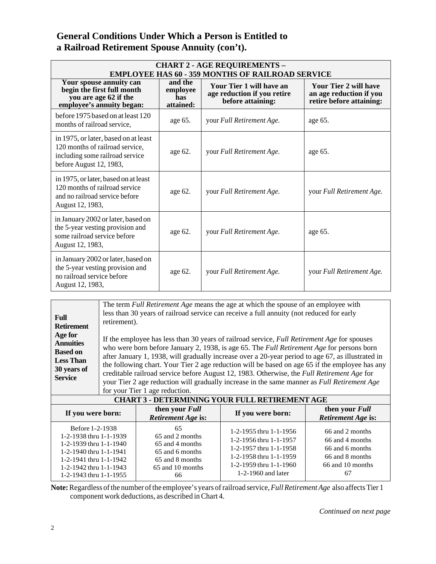## **General Conditions Under Which a Person is Entitled to a Railroad Retirement Spouse Annuity (con't).**

| <b>CHART 2 - AGE REQUIREMENTS -</b><br><b>EMPLOYEE HAS 60 - 359 MONTHS OF RAILROAD SERVICE</b>                                        |                                         |                                                                              |                                                                                     |
|---------------------------------------------------------------------------------------------------------------------------------------|-----------------------------------------|------------------------------------------------------------------------------|-------------------------------------------------------------------------------------|
| Your spouse annuity can<br>begin the first full month<br>you are age 62 if the<br>employee's annuity began:                           | and the<br>employee<br>has<br>attained: | Your Tier 1 will have an<br>age reduction if you retire<br>before attaining: | <b>Your Tier 2 will have</b><br>an age reduction if you<br>retire before attaining: |
| before 1975 based on at least 120<br>months of railroad service,                                                                      | age 65.                                 | your Full Retirement Age.                                                    | age 65.                                                                             |
| in 1975, or later, based on at least<br>120 months of railroad service,<br>including some railroad service<br>before August 12, 1983, | age 62.                                 | your Full Retirement Age.                                                    | age 65.                                                                             |
| in 1975, or later, based on at least<br>120 months of railroad service<br>and no railroad service before<br>August 12, 1983,          | age 62.                                 | your Full Retirement Age.                                                    | your Full Retirement Age.                                                           |
| in January 2002 or later, based on<br>the 5-year vesting provision and<br>some railroad service before<br>August 12, 1983,            | age 62.                                 | your Full Retirement Age.                                                    | age 65.                                                                             |
| in January 2002 or later, based on<br>the 5-year vesting provision and<br>no railroad service before<br>August 12, 1983,              | age $62$ .                              | your Full Retirement Age.                                                    | your Full Retirement Age.                                                           |

| Full<br><b>Retirement</b><br>Age for<br><b>Annuities</b><br><b>Based on</b><br><b>Less Than</b><br>30 years of<br><b>Service</b>                                            | The term Full Retirement Age means the age at which the spouse of an employee with<br>less than 30 years of railroad service can receive a full annuity (not reduced for early<br>retirement).<br>If the employee has less than 30 years of railroad service, Full Retirement Age for spouses<br>who were born before January 2, 1938, is age 65. The <i>Full Retirement Age</i> for persons born<br>after January 1, 1938, will gradually increase over a 20-year period to age 67, as illustrated in<br>the following chart. Your Tier 2 age reduction will be based on age 65 if the employee has any<br>creditable railroad service before August 12, 1983. Otherwise, the Full Retirement Age for<br>your Tier 2 age reduction will gradually increase in the same manner as <i>Full Retirement Age</i><br>for your Tier 1 age reduction. |                                                                                                          |                                                                                                                                                        |                                                                                                    |
|-----------------------------------------------------------------------------------------------------------------------------------------------------------------------------|------------------------------------------------------------------------------------------------------------------------------------------------------------------------------------------------------------------------------------------------------------------------------------------------------------------------------------------------------------------------------------------------------------------------------------------------------------------------------------------------------------------------------------------------------------------------------------------------------------------------------------------------------------------------------------------------------------------------------------------------------------------------------------------------------------------------------------------------|----------------------------------------------------------------------------------------------------------|--------------------------------------------------------------------------------------------------------------------------------------------------------|----------------------------------------------------------------------------------------------------|
| <b>CHART 3 - DETERMINING YOUR FULL RETIREMENT AGE</b>                                                                                                                       |                                                                                                                                                                                                                                                                                                                                                                                                                                                                                                                                                                                                                                                                                                                                                                                                                                                |                                                                                                          |                                                                                                                                                        |                                                                                                    |
| If you were born:                                                                                                                                                           |                                                                                                                                                                                                                                                                                                                                                                                                                                                                                                                                                                                                                                                                                                                                                                                                                                                | then your <i>Full</i><br><i>Retirement Age is:</i>                                                       | If you were born:                                                                                                                                      | then your <i>Full</i><br><i>Retirement Age is:</i>                                                 |
| Before 1-2-1938<br>1-2-1938 thru 1-1-1939<br>1-2-1939 thru 1-1-1940<br>1-2-1940 thru 1-1-1941<br>1-2-1941 thru 1-1-1942<br>1-2-1942 thru 1-1-1943<br>1-2-1943 thru 1-1-1955 |                                                                                                                                                                                                                                                                                                                                                                                                                                                                                                                                                                                                                                                                                                                                                                                                                                                | 65<br>65 and 2 months<br>65 and 4 months<br>65 and 6 months<br>65 and 8 months<br>65 and 10 months<br>66 | 1-2-1955 thru 1-1-1956<br>1-2-1956 thru 1-1-1957<br>1-2-1957 thru 1-1-1958<br>1-2-1958 thru 1-1-1959<br>1-2-1959 thru 1-1-1960<br>$1-2-1960$ and later | 66 and 2 months<br>66 and 4 months<br>66 and 6 months<br>66 and 8 months<br>66 and 10 months<br>67 |

 **Note:** Regardless of the number of the employee's years of railroad service, *Full Retirement Age* also affects Tier 1 component work deductions, as described in Chart 4.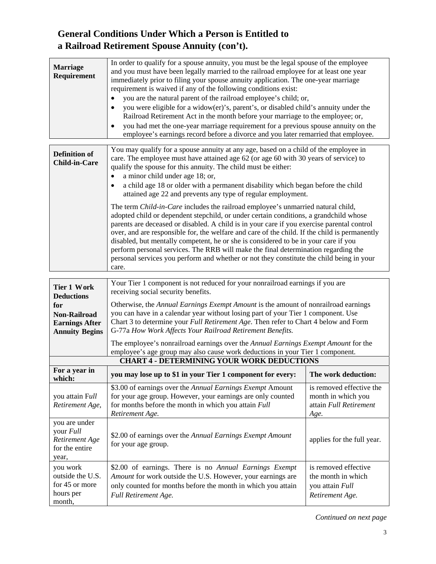## **General Conditions Under Which a Person is Entitled to a Railroad Retirement Spouse Annuity (con't).**

| <b>Marriage</b><br>Requirement                                                                    | In order to qualify for a spouse annuity, you must be the legal spouse of the employee<br>and you must have been legally married to the railroad employee for at least one year<br>immediately prior to filing your spouse annuity application. The one-year marriage<br>requirement is waived if any of the following conditions exist:<br>you are the natural parent of the railroad employee's child; or,<br>$\bullet$<br>you were eligible for a widow(er)'s, parent's, or disabled child's annuity under the<br>Railroad Retirement Act in the month before your marriage to the employee; or,<br>you had met the one-year marriage requirement for a previous spouse annuity on the<br>$\bullet$<br>employee's earnings record before a divorce and you later remarried that employee. |                                                                                  |  |
|---------------------------------------------------------------------------------------------------|----------------------------------------------------------------------------------------------------------------------------------------------------------------------------------------------------------------------------------------------------------------------------------------------------------------------------------------------------------------------------------------------------------------------------------------------------------------------------------------------------------------------------------------------------------------------------------------------------------------------------------------------------------------------------------------------------------------------------------------------------------------------------------------------|----------------------------------------------------------------------------------|--|
| <b>Definition of</b><br><b>Child-in-Care</b>                                                      | You may qualify for a spouse annuity at any age, based on a child of the employee in<br>care. The employee must have attained age 62 (or age 60 with 30 years of service) to<br>qualify the spouse for this annuity. The child must be either:<br>a minor child under age 18; or,<br>a child age 18 or older with a permanent disability which began before the child<br>attained age 22 and prevents any type of regular employment.                                                                                                                                                                                                                                                                                                                                                        |                                                                                  |  |
|                                                                                                   | The term Child-in-Care includes the railroad employee's unmarried natural child,<br>adopted child or dependent stepchild, or under certain conditions, a grandchild whose<br>parents are deceased or disabled. A child is in your care if you exercise parental control<br>over, and are responsible for, the welfare and care of the child. If the child is permanently<br>disabled, but mentally competent, he or she is considered to be in your care if you<br>perform personal services. The RRB will make the final determination regarding the<br>personal services you perform and whether or not they constitute the child being in your<br>care.                                                                                                                                   |                                                                                  |  |
| <b>Tier 1 Work</b>                                                                                | Your Tier 1 component is not reduced for your nonrailroad earnings if you are<br>receiving social security benefits.                                                                                                                                                                                                                                                                                                                                                                                                                                                                                                                                                                                                                                                                         |                                                                                  |  |
| <b>Deductions</b><br>for<br><b>Non-Railroad</b><br><b>Earnings After</b><br><b>Annuity Begins</b> | Otherwise, the Annual Earnings Exempt Amount is the amount of nonrailroad earnings<br>you can have in a calendar year without losing part of your Tier 1 component. Use<br>Chart 3 to determine your Full Retirement Age. Then refer to Chart 4 below and Form<br>G-77a How Work Affects Your Railroad Retirement Benefits.                                                                                                                                                                                                                                                                                                                                                                                                                                                                  |                                                                                  |  |
|                                                                                                   | The employee's nonrailroad earnings over the Annual Earnings Exempt Amount for the<br>employee's age group may also cause work deductions in your Tier 1 component.                                                                                                                                                                                                                                                                                                                                                                                                                                                                                                                                                                                                                          |                                                                                  |  |
|                                                                                                   | <b>CHART 4 - DETERMINING YOUR WORK DEDUCTIONS</b>                                                                                                                                                                                                                                                                                                                                                                                                                                                                                                                                                                                                                                                                                                                                            |                                                                                  |  |
| For a year in<br>which:                                                                           | you may lose up to \$1 in your Tier 1 component for every:                                                                                                                                                                                                                                                                                                                                                                                                                                                                                                                                                                                                                                                                                                                                   | The work deduction:                                                              |  |
| you attain Full<br>Retirement Age,                                                                | \$3.00 of earnings over the Annual Earnings Exempt Amount<br>for your age group. However, your earnings are only counted<br>for months before the month in which you attain Full<br>Retirement Age.                                                                                                                                                                                                                                                                                                                                                                                                                                                                                                                                                                                          | is removed effective the<br>month in which you<br>attain Full Retirement<br>Age. |  |
| you are under<br>your Full<br>Retirement Age<br>for the entire<br>year,                           | \$2.00 of earnings over the Annual Earnings Exempt Amount<br>applies for the full year.<br>for your age group.                                                                                                                                                                                                                                                                                                                                                                                                                                                                                                                                                                                                                                                                               |                                                                                  |  |
| you work<br>outside the U.S.<br>for 45 or more<br>hours per<br>month,                             | is removed effective<br>\$2.00 of earnings. There is no Annual Earnings Exempt<br>Amount for work outside the U.S. However, your earnings are<br>the month in which<br>only counted for months before the month in which you attain<br>you attain Full<br>Full Retirement Age.<br>Retirement Age.                                                                                                                                                                                                                                                                                                                                                                                                                                                                                            |                                                                                  |  |

*Continued on next page*